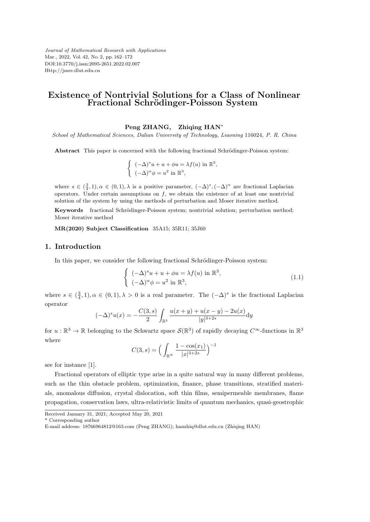*Journal of Mathematical Research with Applications* Mar., 2022, Vol. 42, No. 2, pp. 162–172 DOI:10.3770/j.issn:2095-2651.2022.02.007 Http://jmre.dlut.edu.cn

## **Existence of Nontrivial Solutions for a Class of Nonlinear Fractional Schr¨odinger-Poisson System**

#### **Peng ZHANG, Zhiqing HAN***<sup>∗</sup>*

*School of Mathematical Sciences, Dalian University of Technology, Liaoning* 116024*, P. R. China*

Abstract This paper is concerned with the following fractional Schrödinger-Poisson system:

$$
\begin{cases}\n(-\Delta)^s u + u + \phi u = \lambda f(u) \text{ in } \mathbb{R}^3, \\
(-\Delta)^\alpha \phi = u^2 \text{ in } \mathbb{R}^3,\n\end{cases}
$$

where  $s \in (\frac{3}{4}, 1), \alpha \in (0, 1), \lambda$  is a positive parameter,  $(-\Delta)^s, (-\Delta)^{\alpha}$  are fractional Laplacian operators. Under certain assumptions on *f*, we obtain the existence of at least one nontrivial solution of the system by using the methods of perturbation and Moser iterative method.

Keywords fractional Schrödinger-Poisson system; nontrivial solution; perturbation method; Moser iterative method

**MR(2020) Subject Classification** 35A15; 35R11; 35J60

### **1. Introduction**

In this paper, we consider the following fractional Schrödinger-Poisson system:

$$
\begin{cases}\n(-\Delta)^s u + u + \phi u = \lambda f(u) \text{ in } \mathbb{R}^3, \\
(-\Delta)^\alpha \phi = u^2 \text{ in } \mathbb{R}^3,\n\end{cases}
$$
\n(1.1)

where  $s \in (\frac{3}{4}, 1), \alpha \in (0, 1), \lambda > 0$  is a real parameter. The  $(-\Delta)^s$  is the fractional Laplacian operator

$$
(-\Delta)^s u(x) = -\frac{C(3,s)}{2} \int_{\mathbb{R}^3} \frac{u(x+y) + u(x-y) - 2u(x)}{|y|^{3+2s}} dy
$$

for  $u:\mathbb{R}^3\to\mathbb{R}$  belonging to the Schwartz space  $\mathcal{S}(\mathbb{R}^3)$  of rapidly decaying  $C^{\infty}$ -functions in  $\mathbb{R}^3$ where )*−*<sup>1</sup>

$$
C(3, s) = \left(\int_{\mathbb{R}^N} \frac{1 - \cos(x_1)}{|x|^{3+2s}}\right)^{-}
$$

see for instance [1].

Fractional operators of elliptic type arise in a quite natural way in many different problems, such as the thin obstacle problem, optimization, finance, phase transitions, stratified materials, anomalous diffusion, crystal dislocation, soft thin films, semipermeable membranes, flame propagation, conservation laws, ultra-relativistic limits of quantum mechanics, quasi-geostrophic

\* Corresponding author

Received January 31, 2021; Accepted May 20, 2021

E-mail address: 18766964812@163.com (Peng ZHANG); hanzhiq@dlut.edu.cn (Zhiqing HAN)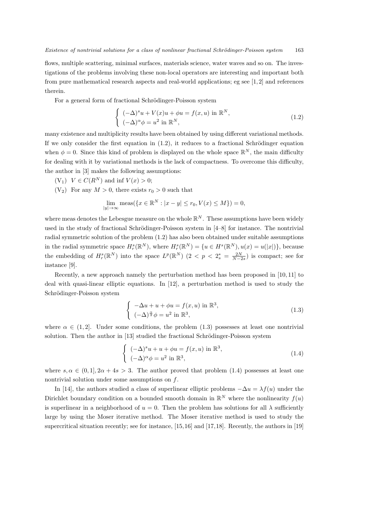flows, multiple scattering, minimal surfaces, materials science, water waves and so on. The investigations of the problems involving these non-local operators are interesting and important both from pure mathematical research aspects and real-world applications; eg see [1, 2] and references therein.

For a general form of fractional Schrödinger-Poisson system

$$
\begin{cases}\n(-\Delta)^s u + V(x)u + \phi u = f(x, u) \text{ in } \mathbb{R}^N, \\
(-\Delta)^\alpha \phi = u^2 \text{ in } \mathbb{R}^N,\n\end{cases}
$$
\n(1.2)

many existence and multiplicity results have been obtained by using different variational methods. If we only consider the first equation in  $(1.2)$ , it reduces to a fractional Schrödinger equation when  $\phi = 0$ . Since this kind of problem is displayed on the whole space  $\mathbb{R}^N$ , the main difficulty for dealing with it by variational methods is the lack of compactness. To overcome this difficulty, the author in [3] makes the following assumptions:

- $(V_1)$   $V \in C(R^N)$  and inf  $V(x) > 0$ ;
- (V<sub>2</sub>) For any  $M > 0$ , there exists  $r_0 > 0$  such that

$$
\lim_{|y| \to \infty} \text{meas}(\{x \in \mathbb{R}^N : |x - y| \le r_0, V(x) \le M\}) = 0,
$$

where meas denotes the Lebesgue measure on the whole  $\mathbb{R}^N$ . These assumptions have been widely used in the study of fractional Schrödinger-Poisson system in  $[4–8]$  for instance. The nontrivial radial symmetric solution of the problem (1.2) has also been obtained under suitable assumptions in the radial symmetric space  $H_r^s(\mathbb{R}^N)$ , where  $H_r^s(\mathbb{R}^N) = \{u \in H^s(\mathbb{R}^N), u(x) = u(|x|)\}\$ , because the embedding of  $H_r^s(\mathbb{R}^N)$  into the space  $L^p(\mathbb{R}^N)$   $(2 < p < 2_s^* = \frac{2N}{N-2s})$  is compact; see for instance [9].

Recently, a new approach namely the perturbation method has been proposed in [10, 11] to deal with quasi-linear elliptic equations. In [12], a perturbation method is used to study the Schrödinger-Poisson system

$$
\begin{cases}\n-\Delta u + u + \phi u = f(x, u) \text{ in } \mathbb{R}^3, \\
(-\Delta)^{\frac{\alpha}{2}} \phi = u^2 \text{ in } \mathbb{R}^3,\n\end{cases}
$$
\n(1.3)

where  $\alpha \in (1, 2]$ . Under some conditions, the problem (1.3) possesses at least one nontrivial solution. Then the author in [13] studied the fractional Schrödinger-Poisson system

$$
\begin{cases}\n(-\Delta)^s u + u + \phi u = f(x, u) \text{ in } \mathbb{R}^3, \\
(-\Delta)^\alpha \phi = u^2 \text{ in } \mathbb{R}^3,\n\end{cases}
$$
\n(1.4)

where  $s, \alpha \in (0, 1], 2\alpha + 4s > 3$ . The author proved that problem (1.4) possesses at least one nontrivial solution under some assumptions on *f*.

In [14], the authors studied a class of superlinear elliptic problems  $-\Delta u = \lambda f(u)$  under the Dirichlet boundary condition on a bounded smooth domain in  $\mathbb{R}^N$  where the nonlinearity  $f(u)$ is superlinear in a neighborhood of  $u = 0$ . Then the problem has solutions for all  $\lambda$  sufficiently large by using the Moser iterative method. The Moser iterative method is used to study the supercritical situation recently; see for instance, [15,16] and [17,18]. Recently, the authors in [19]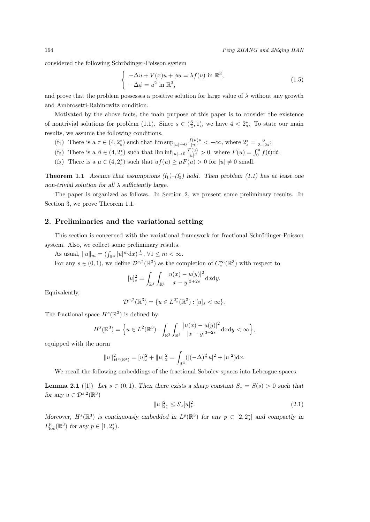considered the following Schrödinger-Poisson system

$$
\begin{cases}\n-\Delta u + V(x)u + \phi u = \lambda f(u) \text{ in } \mathbb{R}^3, \\
-\Delta \phi = u^2 \text{ in } \mathbb{R}^3,\n\end{cases}
$$
\n(1.5)

and prove that the problem possesses a positive solution for large value of  $\lambda$  without any growth and Ambrosetti-Rabinowitz condition.

Motivated by the above facts, the main purpose of this paper is to consider the existence of nontrivial solutions for problem (1.1). Since  $s \in (\frac{3}{4}, 1)$ , we have  $4 < 2_s^*$ . To state our main results, we assume the following conditions.

- (f<sub>1</sub>) There is a  $\tau \in (4, 2_s^*)$  such that  $\limsup_{|u| \to 0} \frac{f(u)u}{|u|^\tau}$  $\frac{|u|^{n}}{|u|^{7}} < +\infty$ , where  $2^{*}_{s} = \frac{6}{3-2s}$ ;
- (f<sub>2</sub>) There is a  $\beta \in (4, 2_s^*)$  such that  $\liminf_{|u| \to 0} \frac{F(u)}{|u|^{\beta}}$  $\frac{F(u)}{|u|^{\beta}} > 0$ , where  $F(u) = \int_0^u f(t) dt$ ;
- (f<sub>3</sub>) There is a  $\mu \in (4, 2_s^*)$  such that  $uf(u) \geq \mu F(u) > 0$  for  $|u| \neq 0$  small.

**Theorem 1.1** *Assume that assumptions*  $(f_1)$ – $(f_3)$  *hold.* Then problem (1.1) has at least one *non-trivial solution for all λ sufficiently large.*

The paper is organized as follows. In Section 2, we present some preliminary results. In Section 3, we prove Theorem 1.1.

### **2. Preliminaries and the variational setting**

This section is concerned with the variational framework for fractional Schrödinger-Poisson system. Also, we collect some preliminary results.

As usual,  $||u||_m = (\int_{\mathbb{R}^3} |u|^m dx)^{\frac{1}{m}}, \forall 1 \leq m < \infty.$ 

For any  $s \in (0,1)$ , we define  $\mathcal{D}^{s,2}(\mathbb{R}^3)$  as the completion of  $C_c^{\infty}(\mathbb{R}^3)$  with respect to

$$
[u]_s^2 = \int_{\mathbb{R}^3} \int_{\mathbb{R}^3} \frac{|u(x) - u(y)|^2}{|x - y|^{3 + 2s}} dxdy.
$$

Equivalently,

$$
\mathcal{D}^{s,2}(\mathbb{R}^3) = \{ u \in L^{2^*_s}(\mathbb{R}^3) : [u]_s < \infty \}.
$$

The fractional space  $H^s(\mathbb{R}^3)$  is defined by

$$
H^{s}(\mathbb{R}^{3}) = \Big\{ u \in L^{2}(\mathbb{R}^{3}) : \int_{\mathbb{R}^{3}} \int_{\mathbb{R}^{3}} \frac{|u(x) - u(y)|^{2}}{|x - y|^{3 + 2s}} dxdy < \infty \Big\},\,
$$

equipped with the norm

$$
||u||^2_{H^s(\mathbb{R}^3)} = [u]_s^2 + ||u||_2^2 = \int_{\mathbb{R}^3} (|(-\Delta)^{\frac{s}{2}} u|^2 + |u|^2) \mathrm{d}x.
$$

We recall the following embeddings of the fractional Sobolev spaces into Lebesgue spaces.

**Lemma 2.1** ([1]) Let  $s \in (0,1)$ *. Then there exists a sharp constant*  $S_* = S(s) > 0$  *such that for any*  $u \in \mathcal{D}^{s,2}(\mathbb{R}^3)$ 

$$
||u||_{2_s^*}^2 \le S_*[u]_s^2. \tag{2.1}
$$

*Moreover,*  $H^s(\mathbb{R}^3)$  *is continuously embedded in*  $L^p(\mathbb{R}^3)$  *for any*  $p \in [2, 2_s^*]$  *and compactly in*  $L_{\text{loc}}^p(\mathbb{R}^3)$  *for any*  $p \in [1, 2_s^*)$ .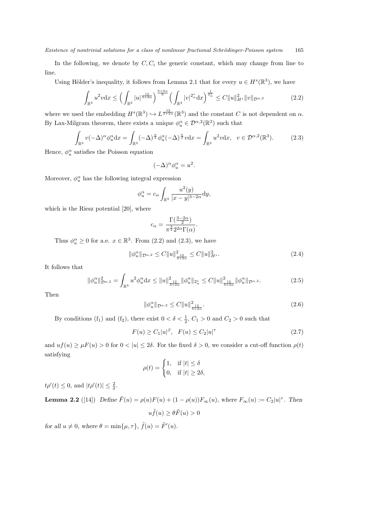In the following, we denote by  $C, C_i$  the generic constant, which may change from line to line.

Using Hölder's inequality, it follows from Lemma 2.1 that for every  $u \in H^s(\mathbb{R}^3)$ , we have

$$
\int_{\mathbb{R}^3} u^2 v \, dx \le \left( \int_{\mathbb{R}^3} |u|^{\frac{12}{3+2\alpha}} \right)^{\frac{3+2\alpha}{6}} \left( \int_{\mathbb{R}^3} |v|^{2^*_{\alpha}} dx \right)^{\frac{1}{2^*_{\alpha}}} \le C \|u\|_{H^s}^2 \|v\|_{\mathcal{D}^{\alpha,2}} \tag{2.2}
$$

where we used the embedding  $H^s(\mathbb{R}^3) \hookrightarrow L^{\frac{12}{3+2\alpha}}(\mathbb{R}^3)$  and the constant *C* is not dependent on  $\alpha$ . By Lax-Milgram theorem, there exists a unique  $\phi_u^{\alpha} \in \mathcal{D}^{\alpha,2}(\mathbb{R}^3)$  such that

$$
\int_{\mathbb{R}^3} v(-\Delta)^\alpha \phi_u^\alpha dx = \int_{\mathbb{R}^3} (-\Delta)^\frac{\alpha}{2} \phi_u^\alpha (-\Delta)^\frac{\alpha}{2} v dx = \int_{\mathbb{R}^3} u^2 v dx, \quad v \in \mathcal{D}^{\alpha,2}(\mathbb{R}^3). \tag{2.3}
$$

Hence,  $\phi_u^{\alpha}$  satisfies the Poisson equation

$$
(-\Delta)^\alpha \phi_u^\alpha = u^2.
$$

Moreover,  $\phi_u^\alpha$  has the following integral expression

$$
\phi_u^{\alpha} = c_{\alpha} \int_{\mathbb{R}^3} \frac{u^2(y)}{|x - y|^{3 - 2\alpha}} dy,
$$

which is the Riesz potential [20], where

$$
c_{\alpha} = \frac{\Gamma(\frac{3-2\alpha}{2})}{\pi^{\frac{3}{2}} 2^{2\alpha} \Gamma(\alpha)}.
$$

Thus  $\phi_u^{\alpha} \geq 0$  for a.e.  $x \in \mathbb{R}^3$ . From (2.2) and (2.3), we have

$$
\|\phi_u^{\alpha}\|_{\mathcal{D}^{\alpha,2}} \le C \|u\|_{\frac{12}{3+2\alpha}}^2 \le C \|u\|_{H^s}^2. \tag{2.4}
$$

It follows that

$$
\|\phi_u^{\alpha}\|_{\mathcal{D}^{\alpha,2}}^2 = \int_{\mathbb{R}^3} u^2 \phi_u^{\alpha} dx \le \|u\|_{\frac{1}{3+2\alpha}}^2 \|\phi_u^{\alpha}\|_{2_\alpha^*} \le C \|u\|_{\frac{1}{3+2\alpha}}^2 \|\phi_u^{\alpha}\|_{\mathcal{D}^{\alpha,2}}.
$$
 (2.5)

Then

$$
\|\phi_u^{\alpha}\|_{\mathcal{D}^{\alpha,2}} \le C \|u\|_{\frac{12}{3+2\alpha}}^2. \tag{2.6}
$$

By conditions (f<sub>1</sub>) and (f<sub>2</sub>), there exist  $0 < \delta < \frac{1}{2}$ ,  $C_1 > 0$  and  $C_2 > 0$  such that

$$
F(u) \ge C_1 |u|^\beta, \quad F(u) \le C_2 |u|^\tau \tag{2.7}
$$

and  $uf(u) \geq \mu F(u) > 0$  for  $0 < |u| \leq 2\delta$ . For the fixed  $\delta > 0$ , we consider a cut-off function  $\rho(t)$ satisfying

$$
\rho(t) = \begin{cases} 1, & \text{if } |t| \le \delta \\ 0, & \text{if } |t| \ge 2\delta, \end{cases}
$$

*t* $\rho'(t) \leq 0$ , and  $|t\rho'(t)| \leq \frac{2}{\delta}$ .

**Lemma 2.2** ([14]) Define  $\tilde{F}(u) = \rho(u)F(u) + (1 - \rho(u))F_{\infty}(u)$ , where  $F_{\infty}(u) := C_2|u|^{\tau}$ . Then  $u \tilde{f}(u) > \theta \tilde{F}(u) > 0$ 

*for all*  $u \neq 0$ *, where*  $\theta = \min\{\mu, \tau\}$ ,  $\tilde{f}(u) = \tilde{F}'(u)$ .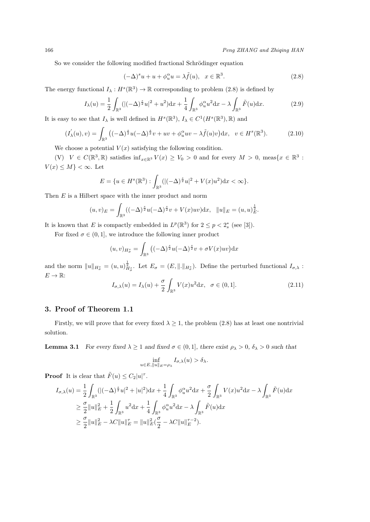So we consider the following modified fractional Schrödinger equation

$$
(-\Delta)^s u + u + \phi_u^{\alpha} u = \lambda \tilde{f}(u), \quad x \in \mathbb{R}^3. \tag{2.8}
$$

The energy functional  $I_{\lambda}: H^s(\mathbb{R}^3) \to \mathbb{R}$  corresponding to problem (2.8) is defined by

$$
I_{\lambda}(u) = \frac{1}{2} \int_{\mathbb{R}^{3}} (|(-\Delta)^{\frac{s}{2}} u|^{2} + u^{2}) \mathrm{d}x + \frac{1}{4} \int_{\mathbb{R}^{3}} \phi_{u}^{\alpha} u^{2} \mathrm{d}x - \lambda \int_{\mathbb{R}^{3}} \tilde{F}(u) \mathrm{d}x.
$$
 (2.9)

It is easy to see that  $I_\lambda$  is well defined in  $H^s(\mathbb{R}^3)$ ,  $I_\lambda \in C^1(H^s(\mathbb{R}^3), \mathbb{R})$  and

$$
(I'_{\lambda}(u),v) = \int_{\mathbb{R}^3} \left( (-\Delta)^{\frac{s}{2}} u (-\Delta)^{\frac{s}{2}} v + uv + \phi_u^{\alpha} uv - \lambda \tilde{f}(u)v \right) dx, \quad v \in H^s(\mathbb{R}^3). \tag{2.10}
$$

We choose a potential  $V(x)$  satisfying the following condition.

 $(V)$   $V \in C(\mathbb{R}^3, \mathbb{R})$  satisfies  $\inf_{x \in \mathbb{R}^3} V(x) \geq V_0 > 0$  and for every  $M > 0$ , meas $\{x \in \mathbb{R}^3$ :  $V(x) \leq M$ } < ∞. Let

$$
E = \{ u \in H^{s}(\mathbb{R}^{3}) : \int_{\mathbb{R}^{3}} (|(-\Delta)^{\frac{s}{2}} u|^{2} + V(x) u^{2}) dx < \infty \}.
$$

Then *E* is a Hilbert space with the inner product and norm

$$
(u,v)_E = \int_{\mathbb{R}^3} ((-\Delta)^{\frac{s}{2}} u(-\Delta)^{\frac{s}{2}} v + V(x) u v) dx, \quad ||u||_E = (u, u)_E^{\frac{1}{2}}.
$$

It is known that *E* is compactly embedded in  $L^p(\mathbb{R}^3)$  for  $2 \le p < 2_s^*$  (see [3]).

For fixed  $\sigma \in (0, 1]$ , we introduce the following inner product

$$
(u,v)_{H^s_{\sigma}} = \int_{\mathbb{R}^3} ((-\Delta)^{\frac{s}{2}} u(-\Delta)^{\frac{s}{2}} v + \sigma V(x) u v) dx
$$

and the norm  $||u||_{H^s_{\sigma}} = (u, u)_{H^s_{\sigma}}^{\frac{1}{2}}$ . Let  $E_{\sigma} = (E, ||.||_{H^s_{\sigma}})$ . Define the perturbed functional  $I_{\sigma,\lambda}$ :  $E \to \mathbb{R}$ :

$$
I_{\sigma,\lambda}(u) = I_{\lambda}(u) + \frac{\sigma}{2} \int_{\mathbb{R}^3} V(x)u^2 dx, \quad \sigma \in (0,1].
$$
 (2.11)

### **3. Proof of Theorem 1.1**

Firstly, we will prove that for every fixed  $\lambda \geq 1$ , the problem (2.8) has at least one nontrivial solution.

**Lemma 3.1** *For every fixed*  $\lambda \geq 1$  *and fixed*  $\sigma \in (0,1]$ *, there exist*  $\rho_{\lambda} > 0$ *,*  $\delta_{\lambda} > 0$  *such that* 

$$
\inf_{u \in E, \|u\|_E = \rho_\lambda} I_{\sigma,\lambda}(u) > \delta_\lambda.
$$

**Proof** It is clear that  $\tilde{F}(u) \leq C_2 |u|^{\tau}$ .

$$
I_{\sigma,\lambda}(u) = \frac{1}{2} \int_{\mathbb{R}^3} (|(-\Delta)^{\frac{s}{2}} u|^2 + |u|^2) dx + \frac{1}{4} \int_{\mathbb{R}^3} \phi_u^{\alpha} u^2 dx + \frac{\sigma}{2} \int_{\mathbb{R}^3} V(x) u^2 dx - \lambda \int_{\mathbb{R}^3} \tilde{F}(u) dx
$$
  
\n
$$
\geq \frac{\sigma}{2} \|u\|_E^2 + \frac{1}{2} \int_{\mathbb{R}^3} u^2 dx + \frac{1}{4} \int_{\mathbb{R}^3} \phi_u^{\alpha} u^2 dx - \lambda \int_{\mathbb{R}^3} \tilde{F}(u) dx
$$
  
\n
$$
\geq \frac{\sigma}{2} \|u\|_E^2 - \lambda C \|u\|_E^{\sigma} = \|u\|_E^2 (\frac{\sigma}{2} - \lambda C \|u\|_E^{\sigma-2}).
$$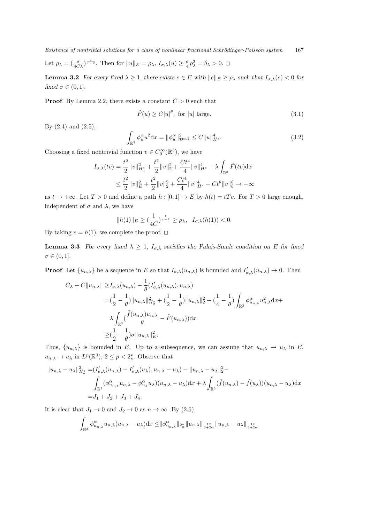*Existence of nontrivial solutions for a class of nonlinear fractional Schrödinger-Poisson system* 167 Let  $\rho_{\lambda} = \left(\frac{\sigma}{4C\lambda}\right)^{\frac{1}{\tau-2}}$ . Then for  $||u||_E = \rho_{\lambda}, L_{\sigma,\lambda}(u) \geq \frac{\sigma}{4}\rho_{\lambda}^2 = \delta_{\lambda} > 0$ .  $\Box$ 

**Lemma 3.2** For every fixed  $\lambda \geq 1$ , there exists  $e \in E$  with  $||e||_E \geq \rho_{\lambda}$  such that  $I_{\sigma,\lambda}(e) < 0$  for *fixed*  $\sigma \in (0, 1]$ .

**Proof** By Lemma 2.2, there exists a constant  $C > 0$  such that

$$
\tilde{F}(u) \ge C|u|^{\theta}, \text{ for } |u| \text{ large.}
$$
\n(3.1)

By  $(2.4)$  and  $(2.5)$ ,

$$
\int_{\mathbb{R}^3} \phi_u^{\alpha} u^2 dx = \|\phi_u^{\alpha}\|_{\mathcal{D}^{\alpha,2}}^2 \le C \|u\|_{H^s}^4.
$$
\n(3.2)

Choosing a fixed nontrivial function  $v \in C_0^{\infty}(\mathbb{R}^3)$ , we have

$$
I_{\sigma,\lambda}(tv) = \frac{t^2}{2} ||v||_{H^s_{\sigma}}^2 + \frac{t^2}{2} ||v||_2^2 + \frac{Ct^4}{4} ||v||_{H^s}^4 - \lambda \int_{\mathbb{R}^3} \tilde{F}(tv) dx
$$
  

$$
\leq \frac{t^2}{2} ||v||_E^2 + \frac{t^2}{2} ||v||_2^2 + \frac{Ct^4}{4} ||v||_{H^s}^4 - Ct^{\theta} ||v||_{\theta}^{\theta} \to -\infty
$$

as  $t \to +\infty$ . Let  $T > 0$  and define a path  $h : [0, 1] \to E$  by  $h(t) = tTv$ . For  $T > 0$  large enough, independent of  $\sigma$  and  $\lambda$ , we have

$$
||h(1)||_E \ge (\frac{1}{4C})^{\frac{1}{\tau-2}} \ge \rho_\lambda, \quad I_{\sigma,\lambda}(h(1)) < 0.
$$

By taking  $e = h(1)$ , we complete the proof.  $\Box$ 

**Lemma 3.3** *For every fixed*  $\lambda \geq 1$ *,*  $I_{\sigma,\lambda}$  *satisfies the Palais-Smale condition on E for fixed*  $\sigma \in (0,1].$ 

**Proof** Let  $\{u_{n,\lambda}\}\)$  be a sequence in *E* so that  $I_{\sigma,\lambda}(u_{n,\lambda})$  is bounded and  $I'_{\sigma,\lambda}(u_{n,\lambda}) \to 0$ . Then

$$
C_{\lambda} + C||u_{n,\lambda}|| \ge I_{\sigma,\lambda}(u_{n,\lambda}) - \frac{1}{\theta}(I'_{\sigma,\lambda}(u_{n,\lambda}), u_{n,\lambda})
$$
  

$$
= (\frac{1}{2} - \frac{1}{\theta})||u_{n,\lambda}||_{H_{\sigma}^s}^2 + (\frac{1}{2} - \frac{1}{\theta})||u_{n,\lambda}||_2^2 + (\frac{1}{4} - \frac{1}{\theta})\int_{\mathbb{R}^3} \phi_{u_{n,\lambda}}^{\alpha} u_{n,\lambda}^2 dx +
$$
  

$$
\lambda \int_{\mathbb{R}^3} (\frac{\tilde{f}(u_{n,\lambda})u_{n,\lambda}}{\theta} - \tilde{F}(u_{n,\lambda})) dx
$$
  

$$
\ge (\frac{1}{2} - \frac{1}{\theta})\sigma ||u_{n,\lambda}||_E^2.
$$

Thus,  $\{u_{n,\lambda}\}\$ is bounded in *E*. Up to a subsequence, we can assume that  $u_{n,\lambda} \to u_\lambda$  in *E*,  $u_{n,\lambda} \to u_{\lambda}$  in  $L^p(\mathbb{R}^3)$ ,  $2 \leq p < 2_s^*$ . Observe that

$$
||u_{n,\lambda} - u_{\lambda}||_{H_{\sigma}^{s}}^{2} = (I'_{\sigma,\lambda}(u_{n,\lambda}) - I'_{\sigma,\lambda}(u_{\lambda}), u_{n,\lambda} - u_{\lambda}) - ||u_{n,\lambda} - u_{\lambda}||_{2}^{2} -
$$
  

$$
\int_{\mathbb{R}^{3}} (\phi_{u_{n,\lambda}}^{\alpha} u_{n,\lambda} - \phi_{u_{\lambda}}^{\alpha} u_{\lambda})(u_{n,\lambda} - u_{\lambda}) dx + \lambda \int_{\mathbb{R}^{3}} (\tilde{f}(u_{n,\lambda}) - \tilde{f}(u_{\lambda}))(u_{n,\lambda} - u_{\lambda}) dx
$$
  
=  $J_{1} + J_{2} + J_{3} + J_{4}.$ 

It is clear that  $J_1 \rightarrow 0$  and  $J_2 \rightarrow 0$  as  $n \rightarrow \infty$ . By (2.6),

$$
\int_{\mathbb{R}^3} \phi_{u_{n,\lambda}}^{\alpha} u_{n,\lambda} (u_{n,\lambda} - u_\lambda) \mathrm{d}x \leq \|\phi_{u_{n,\lambda}}^{\alpha}\|_{2_\alpha^*} \|u_{n,\lambda}\|_{\frac{12}{3+2\alpha}} \|u_{n,\lambda} - u_\lambda\|_{\frac{12}{3+2\alpha}}
$$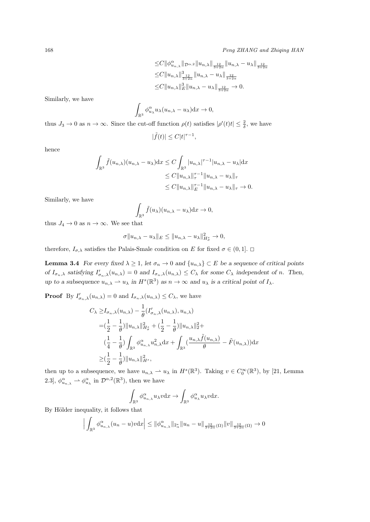$$
\leq C \|\phi_{u_{n,\lambda}}^{\alpha}\|_{\mathcal{D}^{\alpha,2}} \|u_{n,\lambda}\|_{\frac{12}{3+2\alpha}} \|u_{n,\lambda}-u_{\lambda}\|_{\frac{12}{3+2\alpha}}\leq C \|u_{n,\lambda}\|_{\frac{3}{3+2\alpha}}^3 \|u_{n,\lambda}-u_{\lambda}\|_{\frac{12}{3+2\alpha}}\leq C \|u_{n,\lambda}\|_{E}^3 \|u_{n,\lambda}-u_{\lambda}\|_{\frac{12}{3+2\alpha}} \to 0.
$$

Similarly, we have

$$
\int_{\mathbb{R}^3} \phi_{u_\lambda}^\alpha u_\lambda (u_{n,\lambda} - u_\lambda) \mathrm{d} x \to 0,
$$

thus  $J_3 \to 0$  as  $n \to \infty$ . Since the cut-off function  $\rho(t)$  satisfies  $|\rho'(t)t| \leq \frac{2}{\delta}$ , we have

$$
|\tilde{f}(t)| \le C|t|^{\tau - 1},
$$

hence

$$
\int_{\mathbb{R}^3} \tilde{f}(u_{n,\lambda})(u_{n,\lambda} - u_\lambda) dx \le C \int_{\mathbb{R}^3} |u_{n,\lambda}|^{\tau - 1} |u_{n,\lambda} - u_\lambda| dx
$$
  
\n
$$
\le C \|u_{n,\lambda}\|_{\tau}^{\tau - 1} \|u_{n,\lambda} - u_\lambda\|_{\tau}
$$
  
\n
$$
\le C \|u_{n,\lambda}\|_{E}^{\tau - 1} \|u_{n,\lambda} - u_\lambda\|_{\tau} \to 0.
$$

Similarly, we have

$$
\int_{\mathbb{R}^3} \tilde{f}(u_\lambda)(u_{n,\lambda} - u_\lambda) \mathrm{d}x \to 0,
$$

thus  $J_4 \rightarrow 0$  as  $n \rightarrow \infty$ . We see that

$$
\sigma \|u_{n,\lambda} - u_\lambda\|_E \le \|u_{n,\lambda} - u_\lambda\|_{H^s_\sigma}^2 \to 0,
$$

therefore,  $I_{\sigma,\lambda}$  satisfies the Palais-Smale condition on *E* for fixed  $\sigma \in (0,1]$ .  $\Box$ 

**Lemma 3.4** *For every fixed*  $\lambda \geq 1$ *, let*  $\sigma_n \to 0$  *and*  $\{u_{n,\lambda}\}\subset E$  *be a sequence of critical points* of  $I_{\sigma_n,\lambda}$  satisfying  $I'_{\sigma_n,\lambda}(u_{n,\lambda}) = 0$  and  $I_{\sigma_n,\lambda}(u_{n,\lambda}) \leq C_{\lambda}$  for some  $C_{\lambda}$  independent of n. Then, *up to a subsequence*  $u_{n,\lambda} \rightharpoonup u_{\lambda}$  *in*  $H^s(\mathbb{R}^3)$  *as*  $n \to \infty$  *and*  $u_{\lambda}$  *is a critical point of*  $I_{\lambda}$ *.* 

**Proof** By  $I'_{\sigma_n,\lambda}(u_{n,\lambda}) = 0$  and  $I_{\sigma_n,\lambda}(u_{n,\lambda}) \leq C_{\lambda}$ , we have

$$
C_{\lambda} \geq I_{\sigma_n,\lambda}(u_{n,\lambda}) - \frac{1}{\theta} (I'_{\sigma_n,\lambda}(u_{n,\lambda}), u_{n,\lambda})
$$
  
\n
$$
= (\frac{1}{2} - \frac{1}{\theta}) ||u_{n,\lambda}||_{H_{\sigma}}^2 + (\frac{1}{2} - \frac{1}{\theta}) ||u_{n,\lambda}||_2^2 +
$$
  
\n
$$
(\frac{1}{4} - \frac{1}{\theta}) \int_{\mathbb{R}^3} \phi_{u_{n,\lambda}}^{\alpha} u_{n,\lambda}^2 dx + \int_{\mathbb{R}^3} (\frac{u_{n,\lambda} \tilde{f}(u_{n,\lambda})}{\theta} - \tilde{F}(u_{n,\lambda})) dx
$$
  
\n
$$
\geq (\frac{1}{2} - \frac{1}{\theta}) ||u_{n,\lambda}||_{H^s}^2,
$$

then up to a subsequence, we have  $u_{n,\lambda} \to u_\lambda$  in  $H^s(\mathbb{R}^3)$ . Taking  $v \in C_0^\infty(\mathbb{R}^3)$ , by [21, Lemma 2.3,  $\phi_{u_{n,\lambda}}^{\alpha} \to \phi_{u_{\lambda}}^{\alpha}$  in  $\mathcal{D}^{\alpha,2}(\mathbb{R}^3)$ , then we have

$$
\int_{\mathbb{R}^3} \phi_{u_{n,\lambda}}^\alpha u_\lambda v \mathrm{d} x \to \int_{\mathbb{R}^3} \phi_{u_\lambda}^\alpha u_\lambda v \mathrm{d} x.
$$

By Hölder inequality, it follows that

$$
\left| \int_{\mathbb{R}^3} \phi_{u_{n,\lambda}}^{\alpha} (u_n - u) v \, dx \right| \leq \| \phi_{u_{n,\lambda}}^{\alpha} \|_{2_\alpha^*} \| u_n - u \|_{\frac{12}{3+2\alpha}(\Omega)} \| v \|_{\frac{12}{3+2\alpha}(\Omega)} \to 0
$$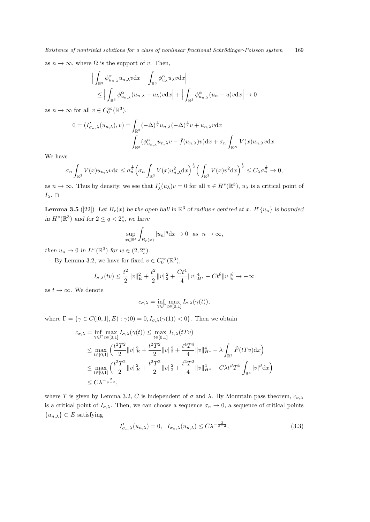as  $n \to \infty$ , where  $\Omega$  is the support of *v*. Then,

$$
\left| \int_{\mathbb{R}^3} \phi_{u_{n,\lambda}}^{\alpha} u_{n,\lambda} v \, dx - \int_{\mathbb{R}^3} \phi_{u_{\lambda}}^{\alpha} u_{\lambda} v \, dx \right|
$$
  
\$\leq \left| \int\_{\mathbb{R}^3} \phi\_{u\_{n,\lambda}}^{\alpha} (u\_{n,\lambda} - u\_{\lambda}) v \, dx \right| + \left| \int\_{\mathbb{R}^3} \phi\_{u\_{n,\lambda}}^{\alpha} (u\_n - u) v \, dx \right| \to 0

as  $n \to \infty$  for all  $v \in C_0^{\infty}(\mathbb{R}^3)$ .

$$
0 = (I'_{\sigma_n,\lambda}(u_{n,\lambda}), v) = \int_{\mathbb{R}^3} (-\Delta)^{\frac{s}{2}} u_{n,\lambda} (-\Delta)^{\frac{s}{2}} v + u_{n,\lambda} v \, dx
$$

$$
\int_{\mathbb{R}^3} (\phi_{u_{n,\lambda}}^{\alpha} u_{n,\lambda} v - \tilde{f}(u_{n,\lambda}) v) \, dx + \sigma_n \int_{\mathbb{R}^N} V(x) u_{n,\lambda} v \, dx.
$$

We have

$$
\sigma_n \int_{\mathbb{R}^3} V(x) u_{n,\lambda} v \, dx \leq \sigma_n^{\frac{1}{2}} \Big( \sigma_n \int_{\mathbb{R}^3} V(x) u_{n,\lambda}^2 dx \Big)^{\frac{1}{2}} \Big( \int_{\mathbb{R}^3} V(x) v^2 dx \Big)^{\frac{1}{2}} \leq C_{\lambda} \sigma_n^{\frac{1}{2}} \to 0,
$$

as  $n \to \infty$ . Thus by density, we see that  $I'_{\lambda}(u_{\lambda})v = 0$  for all  $v \in H^{s}(\mathbb{R}^{3})$ ,  $u_{\lambda}$  is a critical point of *Iλ*.  $\Box$ 

**Lemma 3.5** ([22]) Let  $B_r(x)$  be the open ball in  $\mathbb{R}^3$  of radius r centred at x. If  $\{u_n\}$  is bounded *in*  $H^s(\mathbb{R}^3)$  *and for*  $2 \le q < 2_s^*$ *, we have* 

$$
\sup_{x\in\mathbb{R}^3}\int_{B_r(x)}|u_n|^q{\rm d}x\to 0\ \ {\rm as}\ \ n\to\infty,
$$

*then*  $u_n \to 0$  *in*  $L^w(\mathbb{R}^3)$  *for*  $w \in (2, 2_s^*)$ .

By Lemma 3.2, we have for fixed  $v \in C_0^{\infty}(\mathbb{R}^3)$ ,

$$
I_{\sigma,\lambda}(tv) \le \frac{t^2}{2} ||v||_E^2 + \frac{t^2}{2} ||v||_2^2 + \frac{Ct^4}{4} ||v||_{H^s}^4 - Ct^{\theta} ||v||_{\theta}^{\theta} \to -\infty
$$

as  $t \to \infty$ . We denote

$$
c_{\sigma,\lambda} = \inf_{\gamma \in \Gamma} \max_{t \in [0,1]} I_{\sigma,\lambda}(\gamma(t)),
$$

where  $\Gamma = \{ \gamma \in C([0,1], E) : \gamma(0) = 0, I_{\sigma,\lambda}(\gamma(1)) < 0 \}.$  Then we obtain

$$
c_{\sigma,\lambda} = \inf_{\gamma \in \Gamma} \max_{t \in [0,1]} I_{\sigma,\lambda}(\gamma(t)) \le \max_{t \in [0,1]} I_{1,\lambda}(tTv)
$$
  
\n
$$
\le \max_{t \in [0,1]} \left( \frac{t^2 T^2}{2} \|v\|_E^2 + \frac{t^2 T^2}{2} \|v\|_2^2 + \frac{t^4 T^4}{4} \|v\|_{H^s}^4 - \lambda \int_{\mathbb{R}^3} \tilde{F}(tTv) dx \right)
$$
  
\n
$$
\le \max_{t \in [0,1]} \left( \frac{t^2 T^2}{2} \|v\|_E^2 + \frac{t^2 T^2}{2} \|v\|_2^2 + \frac{t^2 T^2}{4} \|v\|_{H^s}^4 - C\lambda t^{\beta} T^{\beta} \int_{\mathbb{R}^3} |v|^{\beta} dx \right)
$$
  
\n
$$
\le C\lambda^{-\frac{2}{\beta-2}},
$$

where *T* is given by Lemma 3.2, *C* is independent of  $\sigma$  and  $\lambda$ . By Mountain pass theorem,  $c_{\sigma, \lambda}$ is a critical point of  $I_{\sigma,\lambda}$ . Then, we can choose a sequence  $\sigma_n \to 0$ , a sequence of critical points  ${u_{n,\lambda}}$  *⊂ E* satisfying

$$
I'_{\sigma_n,\lambda}(u_{n,\lambda}) = 0, \quad I_{\sigma_n,\lambda}(u_{n,\lambda}) \le C\lambda^{-\frac{2}{\beta-2}}.
$$
\n
$$
(3.3)
$$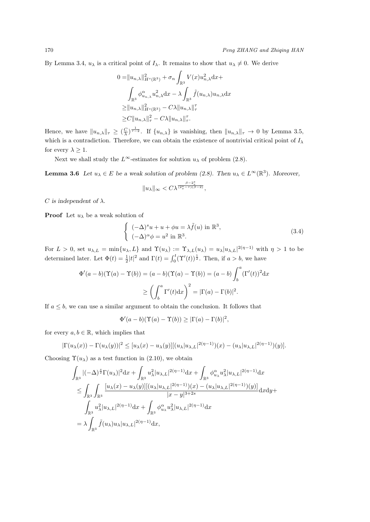By Lemma 3.4,  $u_{\lambda}$  is a critical point of  $I_{\lambda}$ . It remains to show that  $u_{\lambda} \neq 0$ . We derive

$$
0 = ||u_{n,\lambda}||_{H^s(\mathbb{R}^3)}^2 + \sigma_n \int_{\mathbb{R}^3} V(x) u_{n,\lambda}^2 dx +
$$
  

$$
\int_{\mathbb{R}^3} \phi_{u_{n,\lambda}}^\alpha u_{n,\lambda}^2 dx - \lambda \int_{\mathbb{R}^3} \tilde{f}(u_{n,\lambda}) u_{n,\lambda} dx
$$
  

$$
\geq ||u_{n,\lambda}||_{H^s(\mathbb{R}^3)}^2 - C\lambda ||u_{n,\lambda}||_{\tau}^7
$$
  

$$
\geq C ||u_{n,\lambda}||_{\tau}^2 - C\lambda ||u_{n,\lambda}||_{\tau}^7.
$$

Hence, we have  $||u_{n,\lambda}||_{\tau} \geq (\frac{C}{\lambda})^{\frac{1}{\tau-2}}$ . If  $\{u_{n,\lambda}\}\$ is vanishing, then  $||u_{n,\lambda}||_{\tau} \to 0$  by Lemma 3.5, which is a contradiction. Therefore, we can obtain the existence of nontrivial critical point of  $I_\lambda$ for every  $\lambda \geq 1$ .

Next we shall study the  $L^{\infty}$ -estimates for solution  $u_{\lambda}$  of problem (2.8).

**Lemma 3.6** *Let*  $u_{\lambda} \in E$  *be a weak solution of problem (2.8). Then*  $u_{\lambda} \in L^{\infty}(\mathbb{R}^{3})$ *. Moreover,* 

$$
||u_\lambda||_\infty < C\lambda^{\frac{\beta-2^*_s}{(2^*_s-\tau)(\beta-2)}},
$$

*C* is independent of  $\lambda$ .

**Proof** Let  $u_{\lambda}$  be a weak solution of

$$
\begin{cases}\n(-\Delta)^s u + u + \phi u = \lambda \tilde{f}(u) \text{ in } \mathbb{R}^3, \\
(-\Delta)^\alpha \phi = u^2 \text{ in } \mathbb{R}^3.\n\end{cases}
$$
\n(3.4)

For  $L > 0$ , set  $u_{\lambda,L} = \min\{u_{\lambda},L\}$  and  $\Upsilon(u_{\lambda}) := \Upsilon_{\lambda,L}(u_{\lambda}) = u_{\lambda}|u_{\lambda,L}|^{2(\eta-1)}$  with  $\eta > 1$  to be determined later. Let  $\Phi(t) = \frac{1}{2}|t|^2$  and  $\Gamma(t) = \int_0^t (\Upsilon'(t))^{\frac{1}{2}}$ . Then, if  $a > b$ , we have

$$
\Phi'(a-b)(\Upsilon(a)-\Upsilon(b)) = (a-b)(\Upsilon(a)-\Upsilon(b)) = (a-b)\int_b^a (\Gamma'(t))^2 dx
$$

$$
\ge \left(\int_b^a \Gamma'(t) dx\right)^2 = |\Gamma(a)-\Gamma(b)|^2.
$$

If  $a \leq b$ , we can use a similar argument to obtain the conclusion. It follows that

$$
\Phi'(a-b)(\Upsilon(a)-\Upsilon(b)) \geq |\Gamma(a)-\Gamma(b)|^2,
$$

for every  $a, b \in \mathbb{R}$ , which implies that

$$
|\Gamma(u_{\lambda}(x)) - \Gamma(u_{\lambda}(y))|^2 \leq [u_{\lambda}(x) - u_{\lambda}(y)][(u_{\lambda}|u_{\lambda,L}|^{2(\eta-1)})(x) - (u_{\lambda}|u_{\lambda,L}|^{2(\eta-1)})(y)].
$$

Choosing  $\Upsilon(u_\lambda)$  as a test function in (2.10), we obtain

$$
\int_{\mathbb{R}^3} |(-\Delta)^{\frac{s}{2}} \Gamma(u_\lambda)|^2 dx + \int_{\mathbb{R}^3} u_\lambda^2 |u_{\lambda,L}|^{2(\eta-1)} dx + \int_{\mathbb{R}^3} \phi_{u_\lambda}^\alpha u_\lambda^2 |u_{\lambda,L}|^{2(\eta-1)} dx
$$
\n
$$
\leq \int_{\mathbb{R}^3} \int_{\mathbb{R}^3} \frac{[u_\lambda(x) - u_\lambda(y)][(u_\lambda |u_{\lambda,L}|^{2(\eta-1)})(x) - (u_\lambda |u_{\lambda,L}|^{2(\eta-1)})(y)]}{|x - y|^{3+2s}} dx dy +
$$
\n
$$
\int_{\mathbb{R}^3} u_\lambda^2 |u_{\lambda,L}|^{2(\eta-1)} dx + \int_{\mathbb{R}^3} \phi_{u_\lambda}^\alpha u_\lambda^2 |u_{\lambda,L}|^{2(\eta-1)} dx
$$
\n
$$
= \lambda \int_{\mathbb{R}^3} \tilde{f}(u_\lambda) u_\lambda |u_{\lambda,L}|^{2(\eta-1)} dx,
$$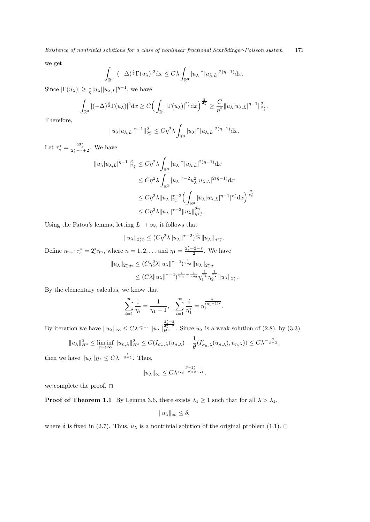we get

$$
\int_{\mathbb{R}^3} |(-\Delta)^{\frac{s}{2}} \Gamma(u_\lambda)|^2 \mathrm{d} x \le C\lambda \int_{\mathbb{R}^3} |u_\lambda|^\tau |u_{\lambda,L}|^{2(\eta-1)} \mathrm{d} x.
$$

Since  $|\Gamma(u_\lambda)| \geq \frac{1}{\eta} |u_\lambda||u_{\lambda,L}|^{\eta-1}$ , we have

$$
\int_{\mathbb{R}^3} |(-\Delta)^{\frac{s}{2}} \Gamma(u_\lambda)|^2 \mathrm{d} x \geq C \Big( \int_{\mathbb{R}^3} |\Gamma(u_\lambda)|^{2^*_s} \mathrm{d} x \Big)^{\frac{2}{2^*_s}} \geq \frac{C}{\eta^2} \|u_\lambda| u_{\lambda,L}\|^{n-1} \|_{2^*_s}^2.
$$

Therefore,

$$
||u_\lambda|u_{\lambda,L}|^{\eta-1}||_{2_\delta^\alpha}^2 \leq C\eta^2\lambda \int_{\mathbb{R}^3} |u_\lambda|^\tau |u_{\lambda,L}|^{2(\eta-1)} \mathrm{d}x.
$$

Let  $\tau_s^* = \frac{22_s^*}{2_s^* - \tau + 2}$ . We have

$$
||u_{\lambda}|u_{\lambda,L}|^{\eta-1}||_{2_{s}^{*}}^{2} \leq C\eta^{2}\lambda \int_{\mathbb{R}^{3}}|u_{\lambda}|^{\tau}|u_{\lambda,L}|^{2(\eta-1)}dx
$$
  
\n
$$
\leq C\eta^{2}\lambda \int_{\mathbb{R}^{3}}|u_{\lambda}|^{\tau-2}u_{\lambda}^{2}|u_{\lambda,L}|^{2(\eta-1)}dx
$$
  
\n
$$
\leq C\eta^{2}\lambda ||u_{\lambda}||_{2_{s}^{*}}^{\tau-2}\Big(\int_{\mathbb{R}^{3}}|u_{\lambda}|u_{\lambda,L}|^{\eta-1}|^{\tau_{s}^{*}}dx\Big)^{\frac{2}{\tau_{s}^{*}}}
$$
  
\n
$$
\leq C\eta^{2}\lambda ||u_{\lambda}||^{\tau-2}||u_{\lambda}||_{\eta\tau_{s}^{*}}^{\eta\eta}.
$$

Using the Fatou's lemma, letting  $L \to \infty$ , it follows that

$$
||u_{\lambda}||_{2_{s}^{*}\eta} \leq (C\eta^{2}\lambda ||u_{\lambda}||^{\tau-2})^{\frac{1}{2\eta}}||u_{\lambda}||_{\eta\tau_{s}^{*}}.
$$

Define  $\eta_{n+1}\tau_s^* = 2_s^*\eta_n$ , where  $n = 1, 2, ...$  and  $\eta_1 = \frac{2_s^* + 2 - \tau}{2}$ . We have

$$
||u_{\lambda}||_{2_{s}^{*}\eta_{2}} \leq (C\eta_{2}^{2}\lambda ||u_{\lambda}||^{\tau-2})^{\frac{1}{2\eta_{2}}}||u_{\lambda}||_{2_{s}^{*}\eta_{1}}\leq (C\lambda ||u_{\lambda}||^{\tau-2})^{\frac{1}{2\eta_{1}}+\frac{1}{2\eta_{2}}}\eta_{1}^{\frac{1}{\eta_{1}}}\eta_{2}^{\frac{1}{\eta_{2}}}||u_{\lambda}||_{2_{s}^{*}}.
$$

By the elementary calculus, we know that

$$
\sum_{i=1}^{\infty} \frac{1}{\eta_i} = \frac{1}{\eta_1 - 1}, \quad \sum_{i=1}^{\infty} \frac{i}{\eta_1^i} = \eta_1^{\frac{\eta_1}{(\eta_1 - 1)^2}}.
$$

By iteration we have  $||u_\lambda||_\infty \leq C\lambda^{\frac{1}{2^*_s-\tau}}||u_\lambda||$  $\frac{2\frac{x}{s}-2}{2\frac{s}{s}-7}$ . Since *u*<sub>λ</sub> is a weak solution of (2.8), by (3.3),

$$
||u_\lambda||_{H^s}^2 \leq \liminf_{n\to\infty} ||u_{n,\lambda}||_{H^s}^2 \leq C(I_{\sigma_n,\lambda}(u_{n,\lambda}) - \frac{1}{\theta}(I'_{\sigma_n,\lambda}(u_{n,\lambda}),u_{n,\lambda})) \leq C\lambda^{-\frac{2}{\beta-2}},
$$

then we have  $||u_\lambda||_{H^s} \leq C\lambda^{-\frac{1}{\beta-2}}$ . Thus,

$$
||u_\lambda||_\infty \leq C\lambda^{\frac{\beta-2^*_s}{(2^*_s-\tau)(\beta-2)}},
$$

we complete the proof.  $\square$ 

**Proof of Theorem 1.1** By Lemma 3.6, there exists  $\lambda_1 \geq 1$  such that for all  $\lambda > \lambda_1$ ,

$$
||u_\lambda||_\infty \le \delta,
$$

where  $\delta$  is fixed in (2.7). Thus,  $u_{\lambda}$  is a nontrivial solution of the original problem (1.1).  $\Box$